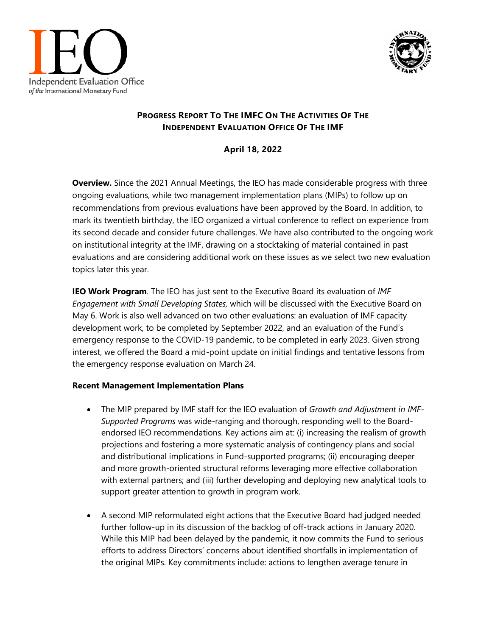



## **PROGRESS REPORT TO THE IMFC ON THE ACTIVITIES OF THE INDEPENDENT EVALUATION OFFICE OF THE IMF**

## **April 18, 2022**

**Overview.** Since the 2021 Annual Meetings, the IEO has made considerable progress with three ongoing evaluations, while two management implementation plans (MIPs) to follow up on recommendations from previous evaluations have been approved by the Board. In addition, to mark its twentieth birthday, the IEO organized a virtual conference to reflect on experience from its second decade and consider future challenges. We have also contributed to the ongoing work on institutional integrity at the IMF, drawing on a stocktaking of material contained in past evaluations and are considering additional work on these issues as we select two new evaluation topics later this year.

**IEO Work Program**. The IEO has just sent to the Executive Board its evaluation of *IMF Engagement with Small Developing States,* which will be discussed with the Executive Board on May 6. Work is also well advanced on two other evaluations: an evaluation of IMF capacity development work, to be completed by September 2022, and an evaluation of the Fund's emergency response to the COVID-19 pandemic, to be completed in early 2023. Given strong interest, we offered the Board a mid-point update on initial findings and tentative lessons from the emergency response evaluation on March 24.

## **Recent Management Implementation Plans**

- The MIP prepared by IMF staff for the IEO evaluation of *Growth and Adjustment in IMF-Supported Programs* was wide-ranging and thorough, responding well to the Boardendorsed IEO recommendations. Key actions aim at: (i) increasing the realism of growth projections and fostering a more systematic analysis of contingency plans and social and distributional implications in Fund-supported programs; (ii) encouraging deeper and more growth-oriented structural reforms leveraging more effective collaboration with external partners; and (iii) further developing and deploying new analytical tools to support greater attention to growth in program work.
- A second MIP reformulated eight actions that the Executive Board had judged needed further follow-up in its discussion of the backlog of off-track actions in January 2020. While this MIP had been delayed by the pandemic, it now commits the Fund to serious efforts to address Directors' concerns about identified shortfalls in implementation of the original MIPs. Key commitments include: actions to lengthen average tenure in